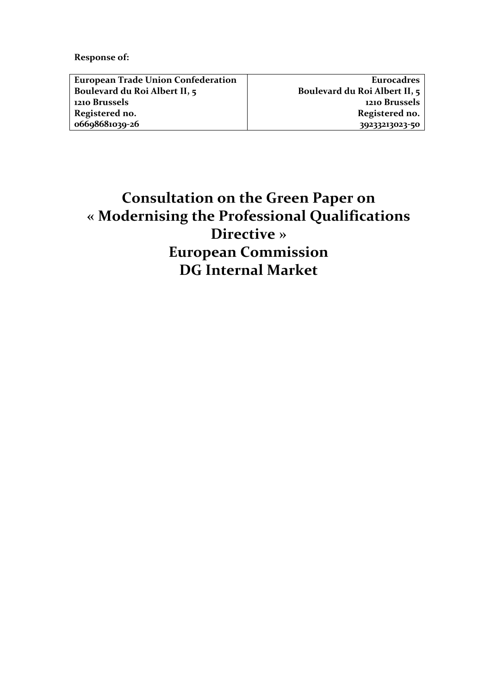**Response of:** 

| <b>European Trade Union Confederation</b> |  |
|-------------------------------------------|--|
| Boulevard du Roi Albert II, 5             |  |
| 1210 Brussels                             |  |
| Registered no.                            |  |
| 06698681039-26                            |  |

**Eurocadres Boulevard du Roi Albert II, 5 1210 Brussels Registered no. 39233213023-50**

# **Consultation on the Green Paper on « Modernising the Professional Qualifications Directive » European Commission DG Internal Market**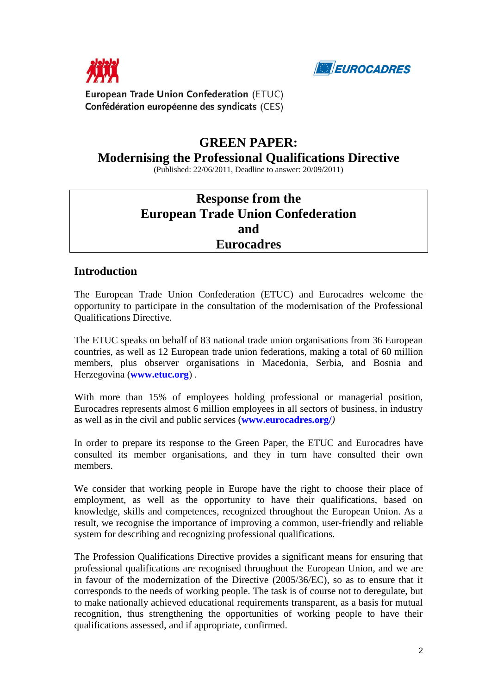



European Trade Union Confederation (ETUC) Confédération européenne des syndicats (CES)

### **GREEN PAPER:**

### **Modernising the Professional Qualifications Directive**

(Published: 22/06/2011, Deadline to answer: 20/09/2011)

## **Response from the European Trade Union Confederation and Eurocadres**

#### **Introduction**

The European Trade Union Confederation (ETUC) and Eurocadres welcome the opportunity to participate in the consultation of the modernisation of the Professional Qualifications Directive.

The ETUC speaks on behalf of 83 national trade union organisations from 36 European countries, as well as 12 European trade union federations, making a total of 60 million members, plus observer organisations in Macedonia, Serbia, and Bosnia and Herzegovina (**[www.etuc.org](http://www.etuc.org/)**) .

With more than 15% of employees holding professional or managerial position, Eurocadres represents almost 6 million employees in all sectors of business, in industry as well as in the civil and public services (**[www.eurocadres.org/](http://www.eurocadres.org/)***)* 

In order to prepare its response to the Green Paper, the ETUC and Eurocadres have consulted its member organisations, and they in turn have consulted their own members.

We consider that working people in Europe have the right to choose their place of employment, as well as the opportunity to have their qualifications, based on knowledge, skills and competences, recognized throughout the European Union. As a result, we recognise the importance of improving a common, user-friendly and reliable system for describing and recognizing professional qualifications.

The Profession Qualifications Directive provides a significant means for ensuring that professional qualifications are recognised throughout the European Union, and we are in favour of the modernization of the Directive (2005/36/EC), so as to ensure that it corresponds to the needs of working people. The task is of course not to deregulate, but to make nationally achieved educational requirements transparent, as a basis for mutual recognition, thus strengthening the opportunities of working people to have their qualifications assessed, and if appropriate, confirmed.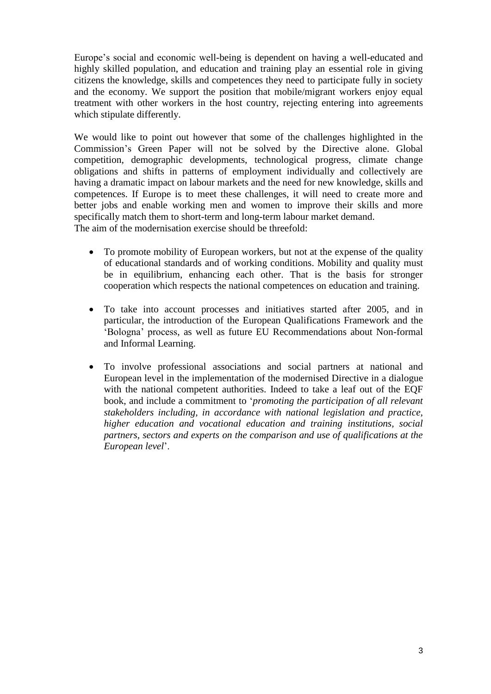Europe's social and economic well-being is dependent on having a well-educated and highly skilled population, and education and training play an essential role in giving citizens the knowledge, skills and competences they need to participate fully in society and the economy. We support the position that mobile/migrant workers enjoy equal treatment with other workers in the host country, rejecting entering into agreements which stipulate differently.

We would like to point out however that some of the challenges highlighted in the Commission's Green Paper will not be solved by the Directive alone. Global competition, demographic developments, technological progress, climate change obligations and shifts in patterns of employment individually and collectively are having a dramatic impact on labour markets and the need for new knowledge, skills and competences. If Europe is to meet these challenges, it will need to create more and better jobs and enable working men and women to improve their skills and more specifically match them to short-term and long-term labour market demand. The aim of the modernisation exercise should be threefold:

- To promote mobility of European workers, but not at the expense of the quality of educational standards and of working conditions. Mobility and quality must be in equilibrium, enhancing each other. That is the basis for stronger cooperation which respects the national competences on education and training.
- To take into account processes and initiatives started after 2005, and in particular, the introduction of the European Qualifications Framework and the 'Bologna' process, as well as future EU Recommendations about Non-formal and Informal Learning.
- To involve professional associations and social partners at national and European level in the implementation of the modernised Directive in a dialogue with the national competent authorities. Indeed to take a leaf out of the EQF book, and include a commitment to '*promoting the participation of all relevant stakeholders including, in accordance with national legislation and practice, higher education and vocational education and training institutions, social partners, sectors and experts on the comparison and use of qualifications at the European level*'.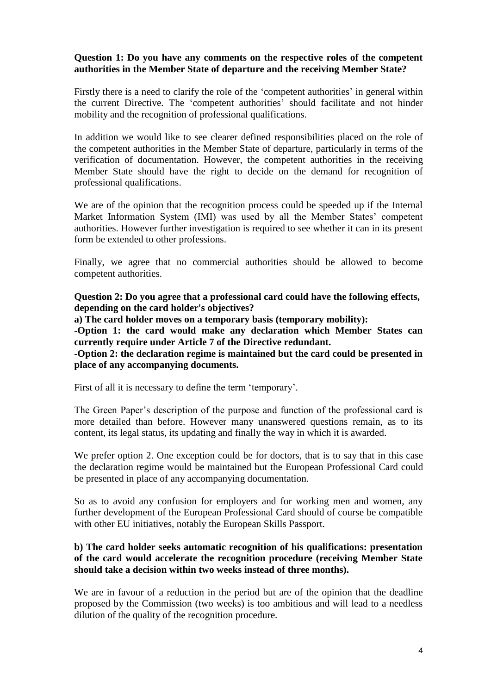#### **Question 1: Do you have any comments on the respective roles of the competent authorities in the Member State of departure and the receiving Member State?**

Firstly there is a need to clarify the role of the 'competent authorities' in general within the current Directive. The 'competent authorities' should facilitate and not hinder mobility and the recognition of professional qualifications.

In addition we would like to see clearer defined responsibilities placed on the role of the competent authorities in the Member State of departure, particularly in terms of the verification of documentation. However, the competent authorities in the receiving Member State should have the right to decide on the demand for recognition of professional qualifications.

We are of the opinion that the recognition process could be speeded up if the Internal Market Information System (IMI) was used by all the Member States' competent authorities. However further investigation is required to see whether it can in its present form be extended to other professions.

Finally, we agree that no commercial authorities should be allowed to become competent authorities.

**Question 2: Do you agree that a professional card could have the following effects, depending on the card holder's objectives?**

**a) The card holder moves on a temporary basis (temporary mobility):**

**-Option 1: the card would make any declaration which Member States can currently require under Article 7 of the Directive redundant.**

**-Option 2: the declaration regime is maintained but the card could be presented in place of any accompanying documents.**

First of all it is necessary to define the term 'temporary'.

The Green Paper's description of the purpose and function of the professional card is more detailed than before. However many unanswered questions remain, as to its content, its legal status, its updating and finally the way in which it is awarded.

We prefer option 2. One exception could be for doctors, that is to say that in this case the declaration regime would be maintained but the European Professional Card could be presented in place of any accompanying documentation.

So as to avoid any confusion for employers and for working men and women, any further development of the European Professional Card should of course be compatible with other EU initiatives, notably the European Skills Passport.

#### **b) The card holder seeks automatic recognition of his qualifications: presentation of the card would accelerate the recognition procedure (receiving Member State should take a decision within two weeks instead of three months).**

We are in favour of a reduction in the period but are of the opinion that the deadline proposed by the Commission (two weeks) is too ambitious and will lead to a needless dilution of the quality of the recognition procedure.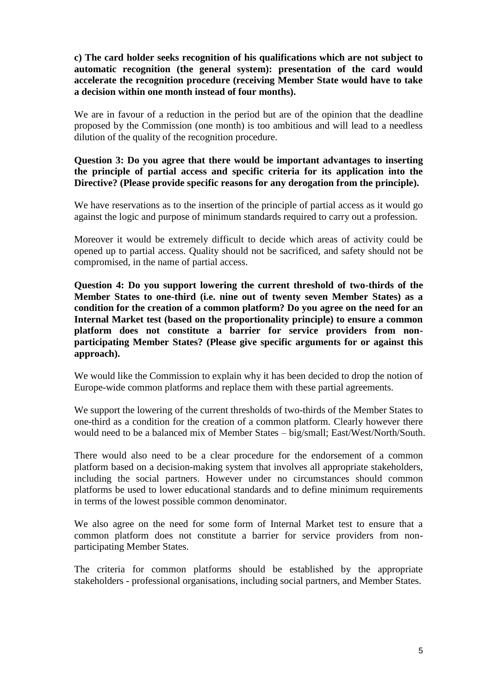**c) The card holder seeks recognition of his qualifications which are not subject to automatic recognition (the general system): presentation of the card would accelerate the recognition procedure (receiving Member State would have to take a decision within one month instead of four months).**

We are in favour of a reduction in the period but are of the opinion that the deadline proposed by the Commission (one month) is too ambitious and will lead to a needless dilution of the quality of the recognition procedure.

#### **Question 3: Do you agree that there would be important advantages to inserting the principle of partial access and specific criteria for its application into the Directive? (Please provide specific reasons for any derogation from the principle).**

We have reservations as to the insertion of the principle of partial access as it would go against the logic and purpose of minimum standards required to carry out a profession.

Moreover it would be extremely difficult to decide which areas of activity could be opened up to partial access. Quality should not be sacrificed, and safety should not be compromised, in the name of partial access.

**Question 4: Do you support lowering the current threshold of two-thirds of the Member States to one-third (i.e. nine out of twenty seven Member States) as a condition for the creation of a common platform? Do you agree on the need for an Internal Market test (based on the proportionality principle) to ensure a common platform does not constitute a barrier for service providers from nonparticipating Member States? (Please give specific arguments for or against this approach).**

We would like the Commission to explain why it has been decided to drop the notion of Europe-wide common platforms and replace them with these partial agreements.

We support the lowering of the current thresholds of two-thirds of the Member States to one-third as a condition for the creation of a common platform. Clearly however there would need to be a balanced mix of Member States – big/small; East/West/North/South.

There would also need to be a clear procedure for the endorsement of a common platform based on a decision-making system that involves all appropriate stakeholders, including the social partners. However under no circumstances should common platforms be used to lower educational standards and to define minimum requirements in terms of the lowest possible common denominator.

We also agree on the need for some form of Internal Market test to ensure that a common platform does not constitute a barrier for service providers from nonparticipating Member States.

The criteria for common platforms should be established by the appropriate stakeholders - professional organisations, including social partners, and Member States.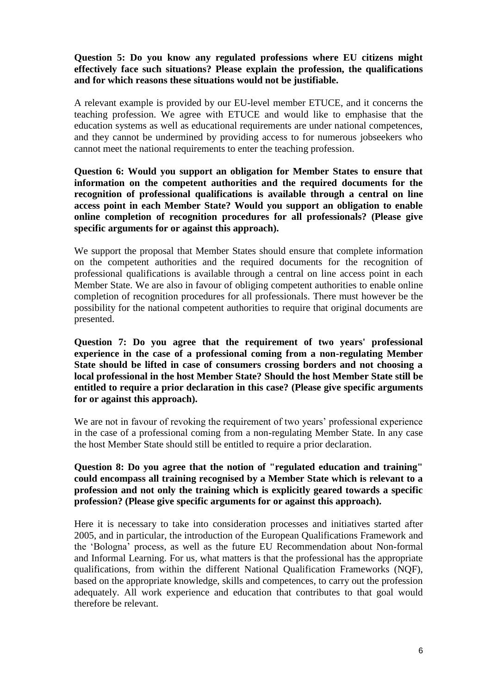#### **Question 5: Do you know any regulated professions where EU citizens might effectively face such situations? Please explain the profession, the qualifications and for which reasons these situations would not be justifiable.**

A relevant example is provided by our EU-level member ETUCE, and it concerns the teaching profession. We agree with ETUCE and would like to emphasise that the education systems as well as educational requirements are under national competences, and they cannot be undermined by providing access to for numerous jobseekers who cannot meet the national requirements to enter the teaching profession.

**Question 6: Would you support an obligation for Member States to ensure that information on the competent authorities and the required documents for the recognition of professional qualifications is available through a central on line access point in each Member State? Would you support an obligation to enable online completion of recognition procedures for all professionals? (Please give specific arguments for or against this approach).**

We support the proposal that Member States should ensure that complete information on the competent authorities and the required documents for the recognition of professional qualifications is available through a central on line access point in each Member State. We are also in favour of obliging competent authorities to enable online completion of recognition procedures for all professionals. There must however be the possibility for the national competent authorities to require that original documents are presented.

**Question 7: Do you agree that the requirement of two years' professional experience in the case of a professional coming from a non-regulating Member State should be lifted in case of consumers crossing borders and not choosing a local professional in the host Member State? Should the host Member State still be entitled to require a prior declaration in this case? (Please give specific arguments for or against this approach).**

We are not in favour of revoking the requirement of two years' professional experience in the case of a professional coming from a non-regulating Member State. In any case the host Member State should still be entitled to require a prior declaration.

**Question 8: Do you agree that the notion of "regulated education and training" could encompass all training recognised by a Member State which is relevant to a profession and not only the training which is explicitly geared towards a specific profession? (Please give specific arguments for or against this approach).**

Here it is necessary to take into consideration processes and initiatives started after 2005, and in particular, the introduction of the European Qualifications Framework and the 'Bologna' process, as well as the future EU Recommendation about Non-formal and Informal Learning. For us, what matters is that the professional has the appropriate qualifications, from within the different National Qualification Frameworks (NQF), based on the appropriate knowledge, skills and competences, to carry out the profession adequately. All work experience and education that contributes to that goal would therefore be relevant.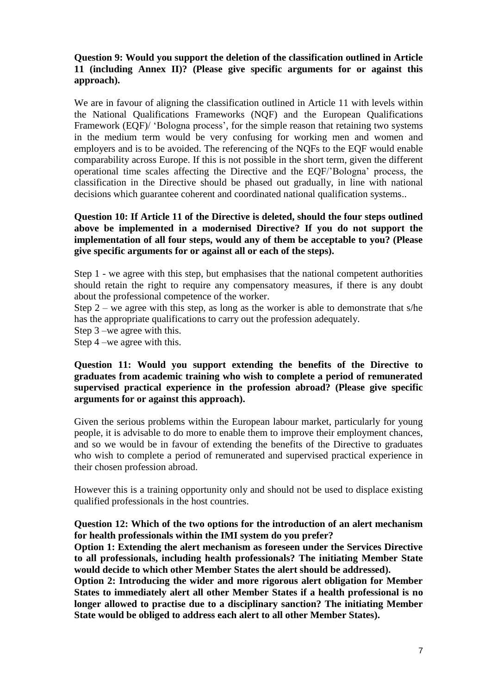#### **Question 9: Would you support the deletion of the classification outlined in Article 11 (including Annex II)? (Please give specific arguments for or against this approach).**

We are in favour of aligning the classification outlined in Article 11 with levels within the National Qualifications Frameworks (NQF) and the European Qualifications Framework (EQF)/ 'Bologna process', for the simple reason that retaining two systems in the medium term would be very confusing for working men and women and employers and is to be avoided. The referencing of the NQFs to the EQF would enable comparability across Europe. If this is not possible in the short term, given the different operational time scales affecting the Directive and the EQF/'Bologna' process, the classification in the Directive should be phased out gradually, in line with national decisions which guarantee coherent and coordinated national qualification systems..

#### **Question 10: If Article 11 of the Directive is deleted, should the four steps outlined above be implemented in a modernised Directive? If you do not support the implementation of all four steps, would any of them be acceptable to you? (Please give specific arguments for or against all or each of the steps).**

Step 1 - we agree with this step, but emphasises that the national competent authorities should retain the right to require any compensatory measures, if there is any doubt about the professional competence of the worker.

Step 2 – we agree with this step, as long as the worker is able to demonstrate that s/he has the appropriate qualifications to carry out the profession adequately.

Step 3 –we agree with this.

Step 4 –we agree with this.

#### **Question 11: Would you support extending the benefits of the Directive to graduates from academic training who wish to complete a period of remunerated supervised practical experience in the profession abroad? (Please give specific arguments for or against this approach).**

Given the serious problems within the European labour market, particularly for young people, it is advisable to do more to enable them to improve their employment chances, and so we would be in favour of extending the benefits of the Directive to graduates who wish to complete a period of remunerated and supervised practical experience in their chosen profession abroad.

However this is a training opportunity only and should not be used to displace existing qualified professionals in the host countries.

**Question 12: Which of the two options for the introduction of an alert mechanism for health professionals within the IMI system do you prefer?**

**Option 1: Extending the alert mechanism as foreseen under the Services Directive to all professionals, including health professionals? The initiating Member State would decide to which other Member States the alert should be addressed).**

**Option 2: Introducing the wider and more rigorous alert obligation for Member States to immediately alert all other Member States if a health professional is no longer allowed to practise due to a disciplinary sanction? The initiating Member State would be obliged to address each alert to all other Member States).**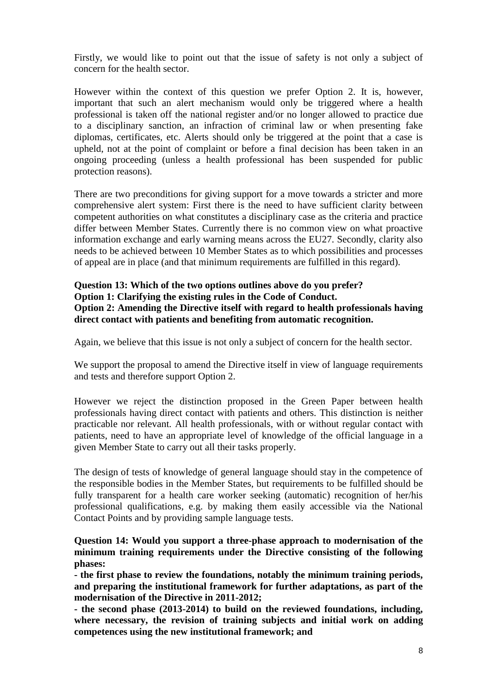Firstly, we would like to point out that the issue of safety is not only a subject of concern for the health sector.

However within the context of this question we prefer Option 2. It is, however, important that such an alert mechanism would only be triggered where a health professional is taken off the national register and/or no longer allowed to practice due to a disciplinary sanction, an infraction of criminal law or when presenting fake diplomas, certificates, etc. Alerts should only be triggered at the point that a case is upheld, not at the point of complaint or before a final decision has been taken in an ongoing proceeding (unless a health professional has been suspended for public protection reasons).

There are two preconditions for giving support for a move towards a stricter and more comprehensive alert system: First there is the need to have sufficient clarity between competent authorities on what constitutes a disciplinary case as the criteria and practice differ between Member States. Currently there is no common view on what proactive information exchange and early warning means across the EU27. Secondly, clarity also needs to be achieved between 10 Member States as to which possibilities and processes of appeal are in place (and that minimum requirements are fulfilled in this regard).

#### **Question 13: Which of the two options outlines above do you prefer? Option 1: Clarifying the existing rules in the Code of Conduct. Option 2: Amending the Directive itself with regard to health professionals having direct contact with patients and benefiting from automatic recognition.**

Again, we believe that this issue is not only a subject of concern for the health sector.

We support the proposal to amend the Directive itself in view of language requirements and tests and therefore support Option 2.

However we reject the distinction proposed in the Green Paper between health professionals having direct contact with patients and others. This distinction is neither practicable nor relevant. All health professionals, with or without regular contact with patients, need to have an appropriate level of knowledge of the official language in a given Member State to carry out all their tasks properly.

The design of tests of knowledge of general language should stay in the competence of the responsible bodies in the Member States, but requirements to be fulfilled should be fully transparent for a health care worker seeking (automatic) recognition of her/his professional qualifications, e.g. by making them easily accessible via the National Contact Points and by providing sample language tests.

#### **Question 14: Would you support a three-phase approach to modernisation of the minimum training requirements under the Directive consisting of the following phases:**

**- the first phase to review the foundations, notably the minimum training periods, and preparing the institutional framework for further adaptations, as part of the modernisation of the Directive in 2011-2012;**

**- the second phase (2013-2014) to build on the reviewed foundations, including, where necessary, the revision of training subjects and initial work on adding competences using the new institutional framework; and**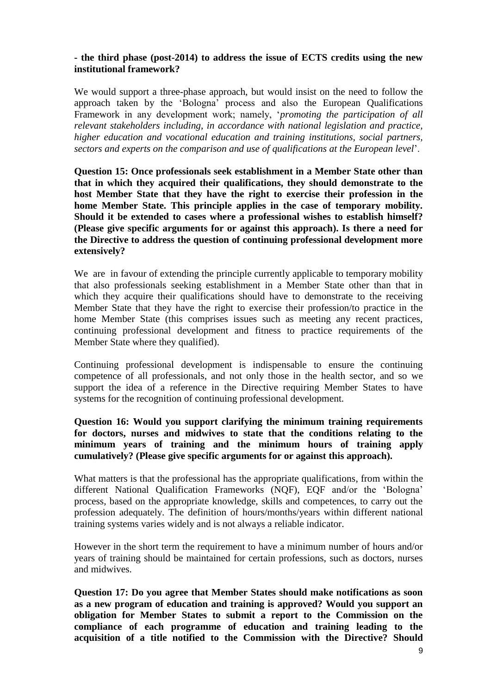#### **- the third phase (post-2014) to address the issue of ECTS credits using the new institutional framework?**

We would support a three-phase approach, but would insist on the need to follow the approach taken by the 'Bologna' process and also the European Qualifications Framework in any development work; namely, '*promoting the participation of all relevant stakeholders including, in accordance with national legislation and practice, higher education and vocational education and training institutions, social partners, sectors and experts on the comparison and use of qualifications at the European level*'.

**Question 15: Once professionals seek establishment in a Member State other than that in which they acquired their qualifications, they should demonstrate to the host Member State that they have the right to exercise their profession in the home Member State. This principle applies in the case of temporary mobility. Should it be extended to cases where a professional wishes to establish himself? (Please give specific arguments for or against this approach). Is there a need for the Directive to address the question of continuing professional development more extensively?**

We are in favour of extending the principle currently applicable to temporary mobility that also professionals seeking establishment in a Member State other than that in which they acquire their qualifications should have to demonstrate to the receiving Member State that they have the right to exercise their profession/to practice in the home Member State (this comprises issues such as meeting any recent practices, continuing professional development and fitness to practice requirements of the Member State where they qualified).

Continuing professional development is indispensable to ensure the continuing competence of all professionals, and not only those in the health sector, and so we support the idea of a reference in the Directive requiring Member States to have systems for the recognition of continuing professional development.

#### **Question 16: Would you support clarifying the minimum training requirements for doctors, nurses and midwives to state that the conditions relating to the minimum years of training and the minimum hours of training apply cumulatively? (Please give specific arguments for or against this approach).**

What matters is that the professional has the appropriate qualifications, from within the different National Qualification Frameworks (NQF), EQF and/or the 'Bologna' process, based on the appropriate knowledge, skills and competences, to carry out the profession adequately. The definition of hours/months/years within different national training systems varies widely and is not always a reliable indicator.

However in the short term the requirement to have a minimum number of hours and/or years of training should be maintained for certain professions, such as doctors, nurses and midwives.

**Question 17: Do you agree that Member States should make notifications as soon as a new program of education and training is approved? Would you support an obligation for Member States to submit a report to the Commission on the compliance of each programme of education and training leading to the acquisition of a title notified to the Commission with the Directive? Should**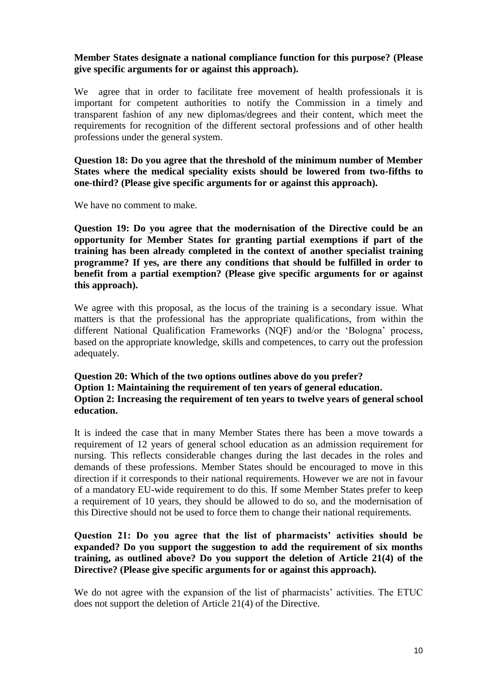#### **Member States designate a national compliance function for this purpose? (Please give specific arguments for or against this approach).**

We agree that in order to facilitate free movement of health professionals it is important for competent authorities to notify the Commission in a timely and transparent fashion of any new diplomas/degrees and their content, which meet the requirements for recognition of the different sectoral professions and of other health professions under the general system.

**Question 18: Do you agree that the threshold of the minimum number of Member States where the medical speciality exists should be lowered from two-fifths to one-third? (Please give specific arguments for or against this approach).**

We have no comment to make.

**Question 19: Do you agree that the modernisation of the Directive could be an opportunity for Member States for granting partial exemptions if part of the training has been already completed in the context of another specialist training programme? If yes, are there any conditions that should be fulfilled in order to benefit from a partial exemption? (Please give specific arguments for or against this approach).**

We agree with this proposal, as the locus of the training is a secondary issue. What matters is that the professional has the appropriate qualifications, from within the different National Qualification Frameworks (NQF) and/or the 'Bologna' process, based on the appropriate knowledge, skills and competences, to carry out the profession adequately.

#### **Question 20: Which of the two options outlines above do you prefer? Option 1: Maintaining the requirement of ten years of general education. Option 2: Increasing the requirement of ten years to twelve years of general school education.**

It is indeed the case that in many Member States there has been a move towards a requirement of 12 years of general school education as an admission requirement for nursing. This reflects considerable changes during the last decades in the roles and demands of these professions. Member States should be encouraged to move in this direction if it corresponds to their national requirements. However we are not in favour of a mandatory EU-wide requirement to do this. If some Member States prefer to keep a requirement of 10 years, they should be allowed to do so, and the modernisation of this Directive should not be used to force them to change their national requirements.

#### **Question 21: Do you agree that the list of pharmacists' activities should be expanded? Do you support the suggestion to add the requirement of six months training, as outlined above? Do you support the deletion of Article 21(4) of the Directive? (Please give specific arguments for or against this approach).**

We do not agree with the expansion of the list of pharmacists' activities. The ETUC does not support the deletion of Article 21(4) of the Directive.